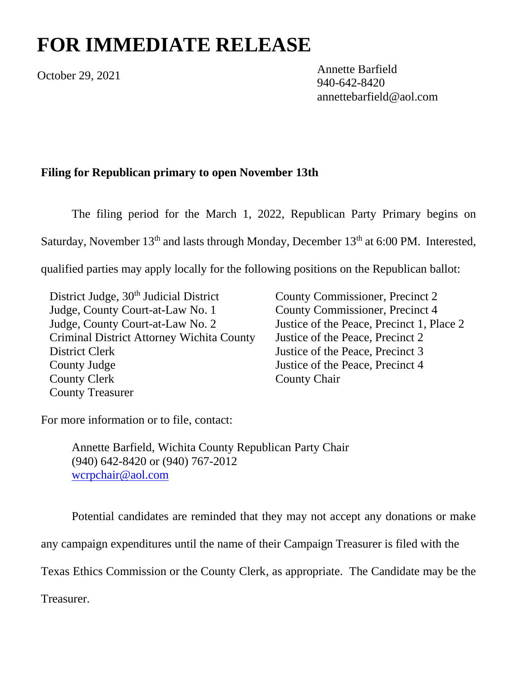## **FOR IMMEDIATE RELEASE**

October 29, 2021

Annette Barfield 940-642-8420 annettebarfield@aol.com

## **Filing for Republican primary to open November 13th**

The filing period for the March 1, 2022, Republican Party Primary begins on Saturday, November  $13<sup>th</sup>$  and lasts through Monday, December  $13<sup>th</sup>$  at 6:00 PM. Interested,

qualified parties may apply locally for the following positions on the Republican ballot:

District Judge, 30<sup>th</sup> Judicial District Judge, County Court-at-Law No. 1 Judge, County Court-at-Law No. 2 Criminal District Attorney Wichita County District Clerk County Judge County Clerk County Treasurer

County Commissioner, Precinct 2 County Commissioner, Precinct 4 Justice of the Peace, Precinct 1, Place 2 Justice of the Peace, Precinct 2 Justice of the Peace, Precinct 3 Justice of the Peace, Precinct 4 County Chair

For more information or to file, contact:

Annette Barfield, Wichita County Republican Party Chair (940) 642-8420 or (940) 767-2012 [wcrpchair@aol.com](mailto:wcrpchair@aol.com)

Potential candidates are reminded that they may not accept any donations or make

any campaign expenditures until the name of their Campaign Treasurer is filed with the

Texas Ethics Commission or the County Clerk, as appropriate. The Candidate may be the

Treasurer.